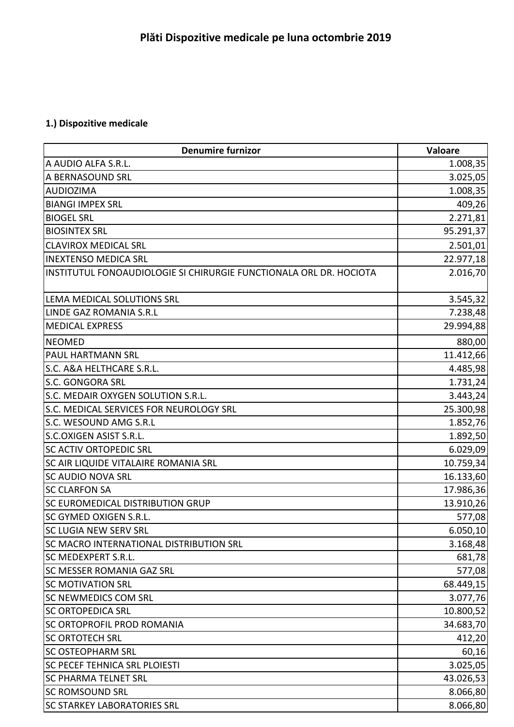## **1.) Dispozitive medicale**

| <b>Denumire furnizor</b>                                           | Valoare   |
|--------------------------------------------------------------------|-----------|
| A AUDIO ALFA S.R.L.                                                | 1.008,35  |
| A BERNASOUND SRL                                                   | 3.025,05  |
| <b>AUDIOZIMA</b>                                                   | 1.008,35  |
| <b>BIANGI IMPEX SRL</b>                                            | 409,26    |
| <b>BIOGEL SRL</b>                                                  | 2.271,81  |
| <b>BIOSINTEX SRL</b>                                               | 95.291,37 |
| <b>CLAVIROX MEDICAL SRL</b>                                        | 2.501,01  |
| <b>INEXTENSO MEDICA SRL</b>                                        | 22.977,18 |
| INSTITUTUL FONOAUDIOLOGIE SI CHIRURGIE FUNCTIONALA ORL DR. HOCIOTA | 2.016,70  |
| LEMA MEDICAL SOLUTIONS SRL                                         | 3.545,32  |
| <b>LINDE GAZ ROMANIA S.R.L</b>                                     | 7.238,48  |
| <b>MEDICAL EXPRESS</b>                                             | 29.994,88 |
| <b>NEOMED</b>                                                      | 880,00    |
| PAUL HARTMANN SRL                                                  | 11.412,66 |
| S.C. A&A HELTHCARE S.R.L.                                          | 4.485,98  |
| S.C. GONGORA SRL                                                   | 1.731,24  |
| S.C. MEDAIR OXYGEN SOLUTION S.R.L.                                 | 3.443,24  |
| S.C. MEDICAL SERVICES FOR NEUROLOGY SRL                            | 25.300,98 |
| S.C. WESOUND AMG S.R.L                                             | 1.852,76  |
| S.C.OXIGEN ASIST S.R.L.                                            | 1.892,50  |
| <b>SC ACTIV ORTOPEDIC SRL</b>                                      | 6.029,09  |
| SC AIR LIQUIDE VITALAIRE ROMANIA SRL                               | 10.759,34 |
| <b>SC AUDIO NOVA SRL</b>                                           | 16.133,60 |
| <b>SC CLARFON SA</b>                                               | 17.986,36 |
| SC EUROMEDICAL DISTRIBUTION GRUP                                   | 13.910,26 |
| SC GYMED OXIGEN S.R.L.                                             | 577,08    |
| SC LUGIA NEW SERV SRL                                              | 6.050,10  |
| <b>SC MACRO INTERNATIONAL DISTRIBUTION SRL</b>                     | 3.168,48  |
| SC MEDEXPERT S.R.L.                                                | 681,78    |
| <b>SC MESSER ROMANIA GAZ SRL</b>                                   | 577,08    |
| <b>SC MOTIVATION SRL</b>                                           | 68.449,15 |
| <b>SC NEWMEDICS COM SRL</b>                                        | 3.077,76  |
| <b>SC ORTOPEDICA SRL</b>                                           | 10.800,52 |
| SC ORTOPROFIL PROD ROMANIA                                         | 34.683,70 |
| <b>SC ORTOTECH SRL</b>                                             | 412,20    |
| <b>SC OSTEOPHARM SRL</b>                                           | 60,16     |
| SC PECEF TEHNICA SRL PLOIESTI                                      | 3.025,05  |
| <b>SC PHARMA TELNET SRL</b>                                        | 43.026,53 |
| <b>SC ROMSOUND SRL</b>                                             | 8.066,80  |
| <b>SC STARKEY LABORATORIES SRL</b>                                 | 8.066,80  |